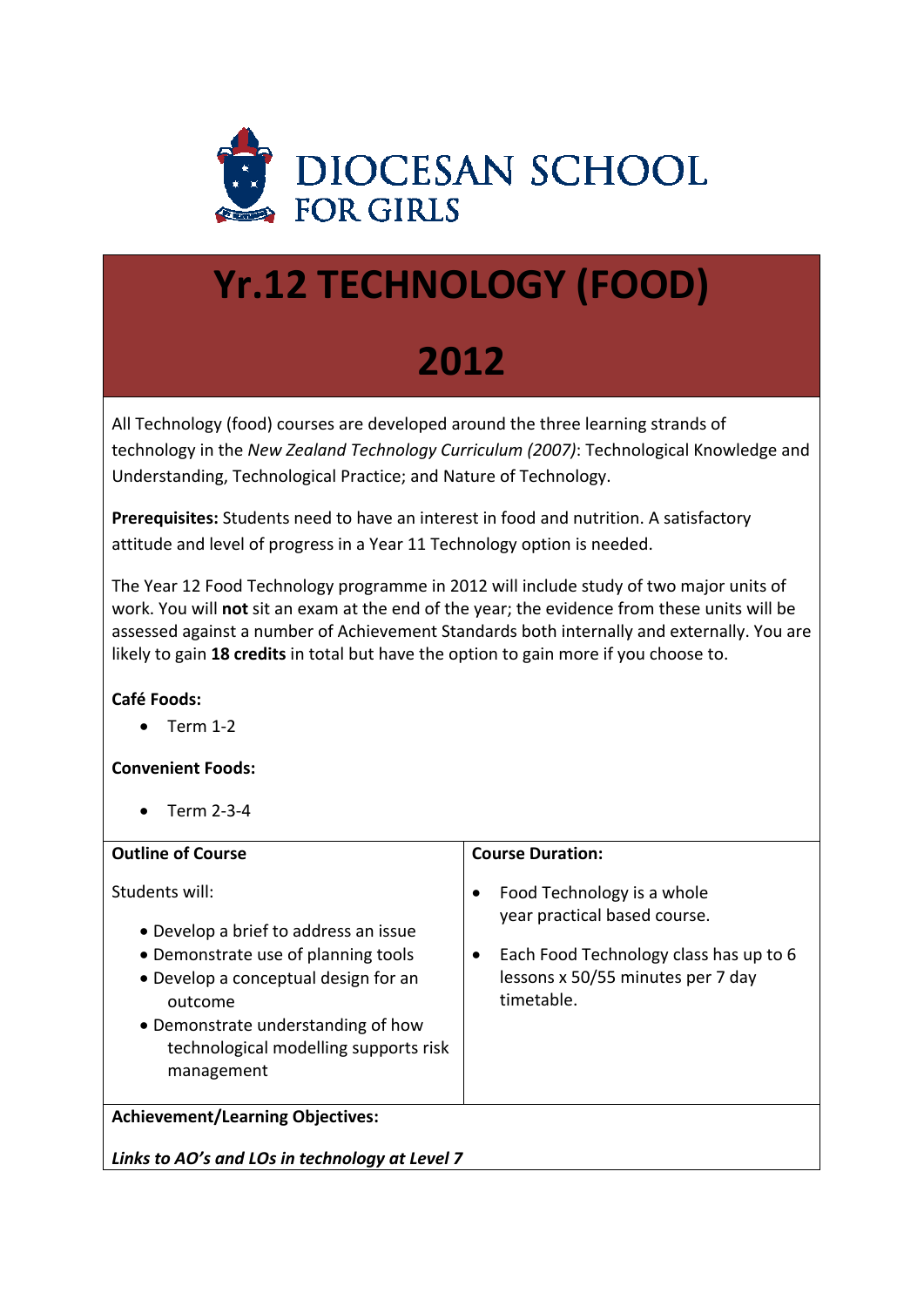

# **Yr.12 TECHNOLOGY (FOOD)**

# **2012**

All Technology (food) courses are developed around the three learning strands of technology in the *New Zealand Technology Curriculum (2007)*: Technological Knowledge and Understanding, Technological Practice; and Nature of Technology.

**Prerequisites:** Students need to have an interest in food and nutrition. A satisfactory attitude and level of progress in a Year 11 Technology option is needed.

The Year 12 Food Technology programme in 2012 will include study of two major units of work. You will **not** sit an exam at the end of the year; the evidence from these units will be assessed against a number of Achievement Standards both internally and externally. You are likely to gain **18 credits** in total but have the option to gain more if you choose to.

# **Café Foods:**

 $\bullet$  Term 1-2

# **Convenient Foods:**

Term 2‐3‐4

| <b>Outline of Course</b>                                                                                                                                                                                                                       | <b>Course Duration:</b>                                                                                                                                 |
|------------------------------------------------------------------------------------------------------------------------------------------------------------------------------------------------------------------------------------------------|---------------------------------------------------------------------------------------------------------------------------------------------------------|
| Students will:<br>• Develop a brief to address an issue<br>• Demonstrate use of planning tools<br>• Develop a conceptual design for an<br>outcome<br>• Demonstrate understanding of how<br>technological modelling supports risk<br>management | Food Technology is a whole<br>year practical based course.<br>Each Food Technology class has up to 6<br>lessons x 50/55 minutes per 7 day<br>timetable. |
| <b>Achievement/Learning Objectives:</b>                                                                                                                                                                                                        |                                                                                                                                                         |
| Links to AO's and LOs in technology at Level 7                                                                                                                                                                                                 |                                                                                                                                                         |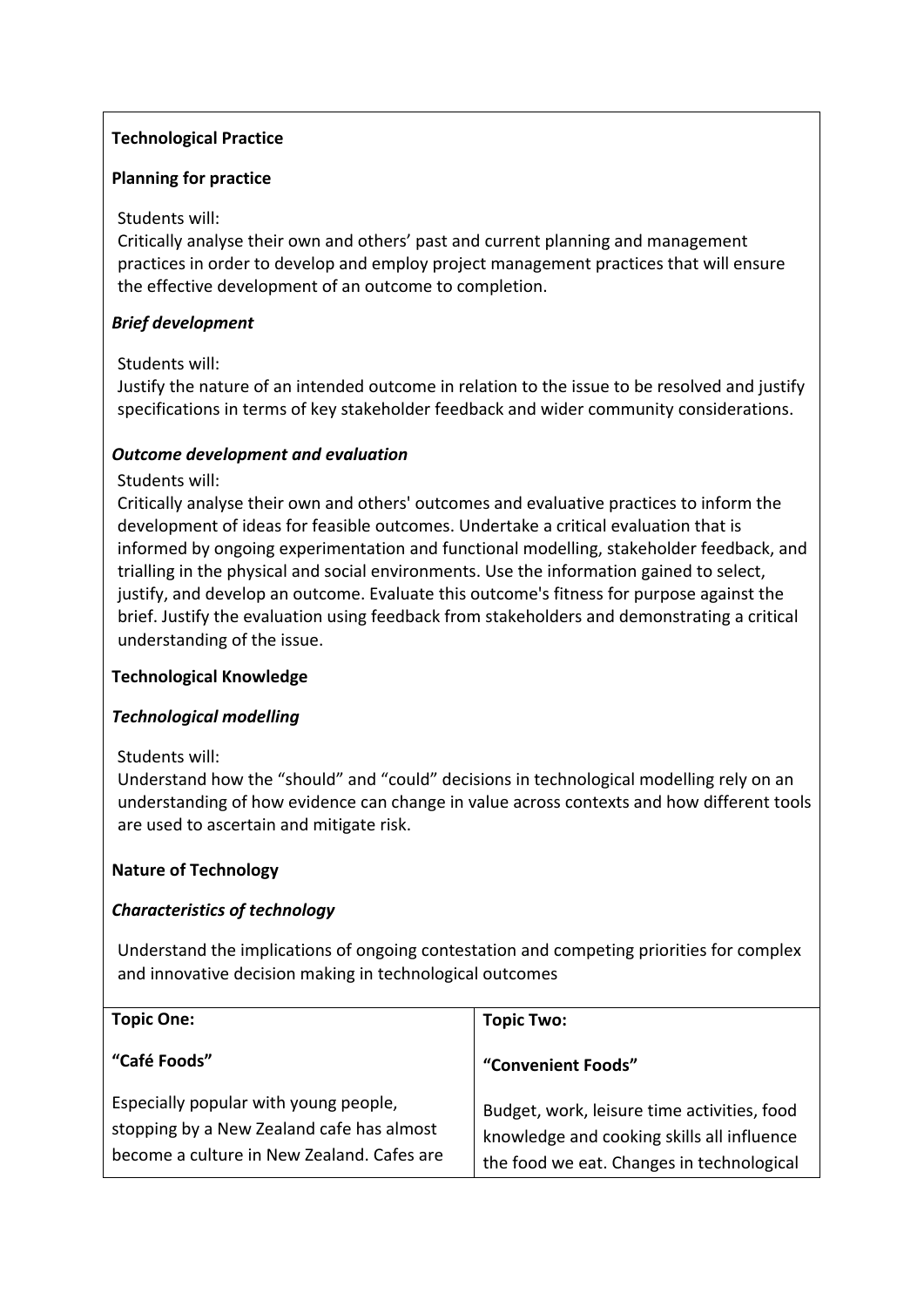# **Technological Practice**

## **Planning for practice**

## Students will:

Critically analyse their own and others' past and current planning and management practices in order to develop and employ project management practices that will ensure the effective development of an outcome to completion.

## *Brief development*

### Students will:

Justify the nature of an intended outcome in relation to the issue to be resolved and justify specifications in terms of key stakeholder feedback and wider community considerations.

# *Outcome development and evaluation*

### Students will:

Critically analyse their own and others' outcomes and evaluative practices to inform the development of ideas for feasible outcomes. Undertake a critical evaluation that is informed by ongoing experimentation and functional modelling, stakeholder feedback, and trialling in the physical and social environments. Use the information gained to select, justify, and develop an outcome. Evaluate this outcome's fitness for purpose against the brief. Justify the evaluation using feedback from stakeholders and demonstrating a critical understanding of the issue.

# **Technological Knowledge**

# *Technological modelling*

#### Students will:

Understand how the "should" and "could" decisions in technological modelling rely on an understanding of how evidence can change in value across contexts and how different tools are used to ascertain and mitigate risk.

# **Nature of Technology**

# *Characteristics of technology*

Understand the implications of ongoing contestation and competing priorities for complex and innovative decision making in technological outcomes

| <b>Topic One:</b>                                                                                                                | <b>Topic Two:</b>                                                                                                                      |
|----------------------------------------------------------------------------------------------------------------------------------|----------------------------------------------------------------------------------------------------------------------------------------|
| "Café Foods"                                                                                                                     | "Convenient Foods"                                                                                                                     |
| Especially popular with young people,<br>stopping by a New Zealand cafe has almost<br>become a culture in New Zealand. Cafes are | Budget, work, leisure time activities, food<br>knowledge and cooking skills all influence<br>the food we eat. Changes in technological |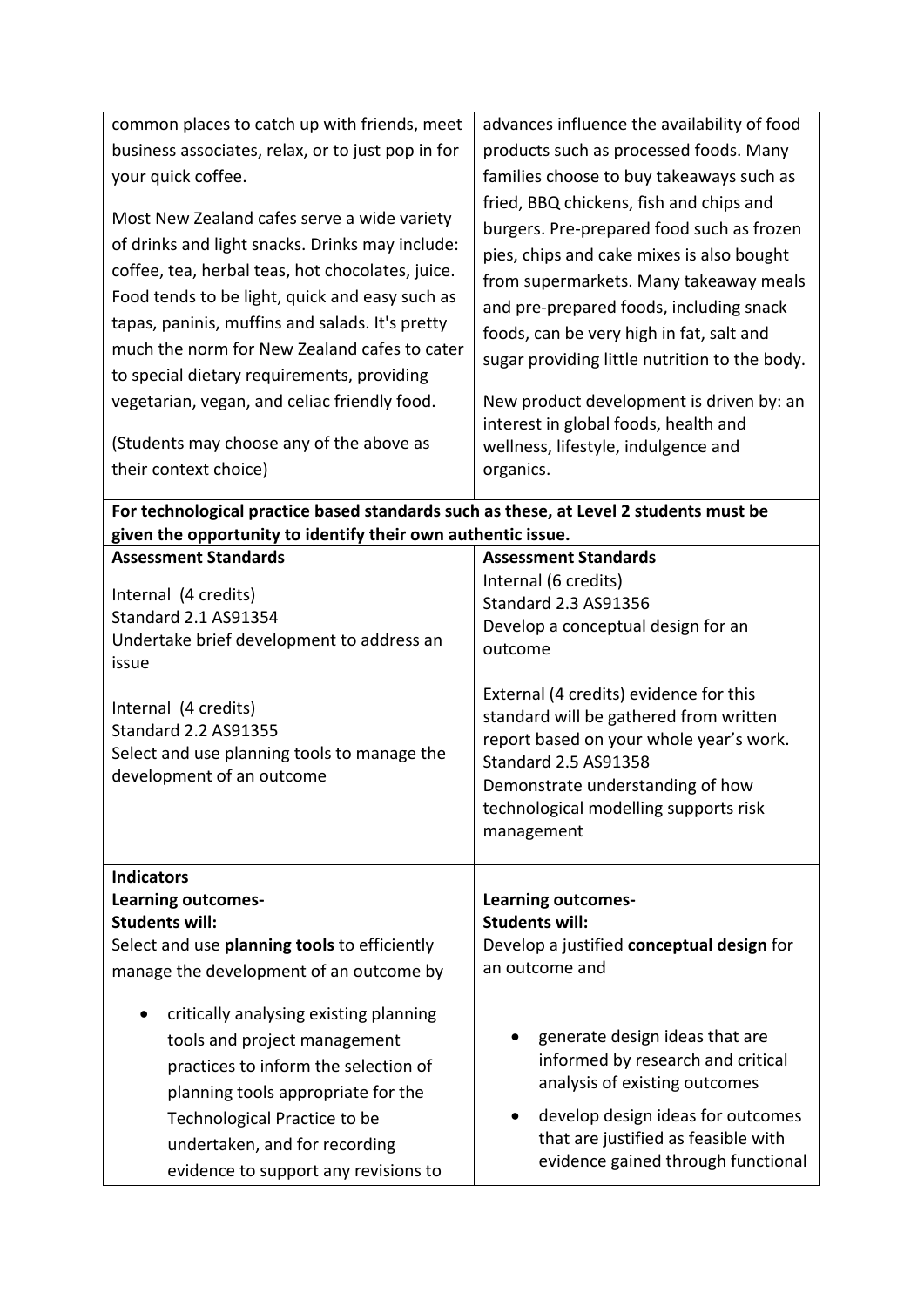| common places to catch up with friends, meet                                                                                                                                                                                                                                                                                                                                                                                                                               | advances influence the availability of food                                                                                                                                                                                                                                                                                                                                                                                                                 |
|----------------------------------------------------------------------------------------------------------------------------------------------------------------------------------------------------------------------------------------------------------------------------------------------------------------------------------------------------------------------------------------------------------------------------------------------------------------------------|-------------------------------------------------------------------------------------------------------------------------------------------------------------------------------------------------------------------------------------------------------------------------------------------------------------------------------------------------------------------------------------------------------------------------------------------------------------|
| business associates, relax, or to just pop in for                                                                                                                                                                                                                                                                                                                                                                                                                          | products such as processed foods. Many                                                                                                                                                                                                                                                                                                                                                                                                                      |
| your quick coffee.                                                                                                                                                                                                                                                                                                                                                                                                                                                         | families choose to buy takeaways such as                                                                                                                                                                                                                                                                                                                                                                                                                    |
| Most New Zealand cafes serve a wide variety<br>of drinks and light snacks. Drinks may include:<br>coffee, tea, herbal teas, hot chocolates, juice.<br>Food tends to be light, quick and easy such as<br>tapas, paninis, muffins and salads. It's pretty<br>much the norm for New Zealand cafes to cater<br>to special dietary requirements, providing<br>vegetarian, vegan, and celiac friendly food.<br>(Students may choose any of the above as<br>their context choice) | fried, BBQ chickens, fish and chips and<br>burgers. Pre-prepared food such as frozen<br>pies, chips and cake mixes is also bought<br>from supermarkets. Many takeaway meals<br>and pre-prepared foods, including snack<br>foods, can be very high in fat, salt and<br>sugar providing little nutrition to the body.<br>New product development is driven by: an<br>interest in global foods, health and<br>wellness, lifestyle, indulgence and<br>organics. |
| For technological practice based standards such as these, at Level 2 students must be                                                                                                                                                                                                                                                                                                                                                                                      |                                                                                                                                                                                                                                                                                                                                                                                                                                                             |
| given the opportunity to identify their own authentic issue.                                                                                                                                                                                                                                                                                                                                                                                                               |                                                                                                                                                                                                                                                                                                                                                                                                                                                             |
| <b>Assessment Standards</b>                                                                                                                                                                                                                                                                                                                                                                                                                                                | <b>Assessment Standards</b>                                                                                                                                                                                                                                                                                                                                                                                                                                 |
| Internal (4 credits)<br>Standard 2.1 AS91354<br>Undertake brief development to address an<br>issue<br>Internal (4 credits)<br><b>Standard 2.2 AS91355</b><br>Select and use planning tools to manage the<br>development of an outcome                                                                                                                                                                                                                                      | Internal (6 credits)<br><b>Standard 2.3 AS91356</b><br>Develop a conceptual design for an<br>outcome<br>External (4 credits) evidence for this<br>standard will be gathered from written<br>report based on your whole year's work.<br><b>Standard 2.5 AS91358</b><br>Demonstrate understanding of how<br>technological modelling supports risk                                                                                                             |
|                                                                                                                                                                                                                                                                                                                                                                                                                                                                            | management                                                                                                                                                                                                                                                                                                                                                                                                                                                  |
| <b>Indicators</b><br><b>Learning outcomes-</b><br><b>Students will:</b><br>Select and use planning tools to efficiently<br>manage the development of an outcome by                                                                                                                                                                                                                                                                                                         | <b>Learning outcomes-</b><br><b>Students will:</b><br>Develop a justified conceptual design for<br>an outcome and                                                                                                                                                                                                                                                                                                                                           |
| critically analysing existing planning<br>tools and project management<br>practices to inform the selection of<br>planning tools appropriate for the<br>Technological Practice to be<br>undertaken, and for recording<br>evidence to support any revisions to                                                                                                                                                                                                              | generate design ideas that are<br>informed by research and critical<br>analysis of existing outcomes<br>develop design ideas for outcomes<br>that are justified as feasible with<br>evidence gained through functional                                                                                                                                                                                                                                      |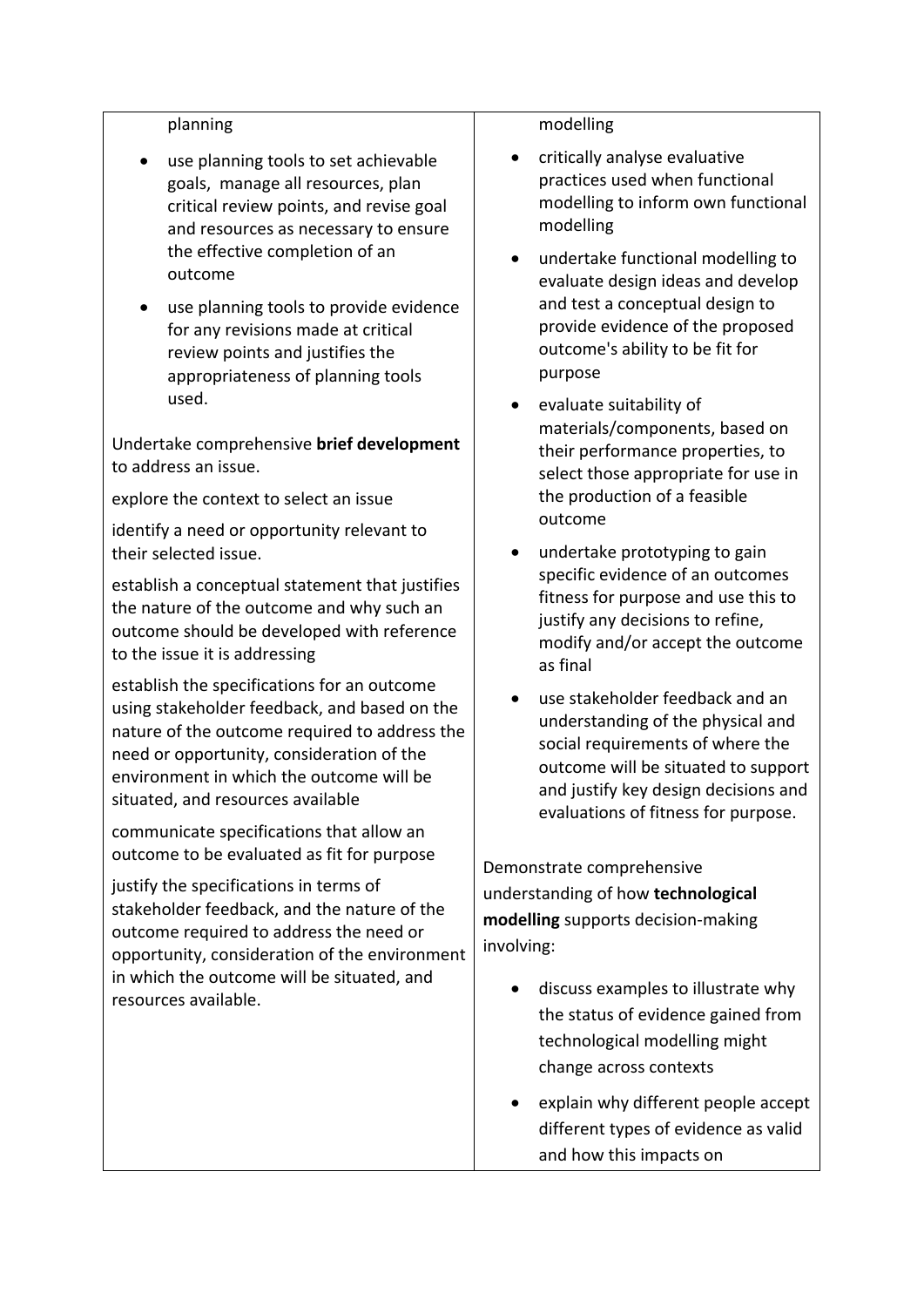#### planning

- use planning tools to set achievable goals, manage all resources, plan critical review points, and revise goal and resources as necessary to ensure the effective completion of an outcome
- use planning tools to provide evidence for any revisions made at critical review points and justifies the appropriateness of planning tools used.

Undertake comprehensive **brief development** to address an issue.

explore the context to select an issue

identify a need or opportunity relevant to their selected issue.

establish a conceptual statement that justifies the nature of the outcome and why such an outcome should be developed with reference to the issue it is addressing

establish the specifications for an outcome using stakeholder feedback, and based on the nature of the outcome required to address the need or opportunity, consideration of the environment in which the outcome will be situated, and resources available

communicate specifications that allow an outcome to be evaluated as fit for purpose

justify the specifications in terms of stakeholder feedback, and the nature of the outcome required to address the need or opportunity, consideration of the environment in which the outcome will be situated, and resources available.

#### modelling

- critically analyse evaluative practices used when functional modelling to inform own functional modelling
- undertake functional modelling to evaluate design ideas and develop and test a conceptual design to provide evidence of the proposed outcome's ability to be fit for purpose
- evaluate suitability of materials/components, based on their performance properties, to select those appropriate for use in the production of a feasible outcome
- undertake prototyping to gain specific evidence of an outcomes fitness for purpose and use this to justify any decisions to refine, modify and/or accept the outcome as final
- use stakeholder feedback and an understanding of the physical and social requirements of where the outcome will be situated to support and justify key design decisions and evaluations of fitness for purpose.

Demonstrate comprehensive understanding of how **technological modelling** supports decision‐making involving:

- discuss examples to illustrate why the status of evidence gained from technological modelling might change across contexts
- explain why different people accept different types of evidence as valid and how this impacts on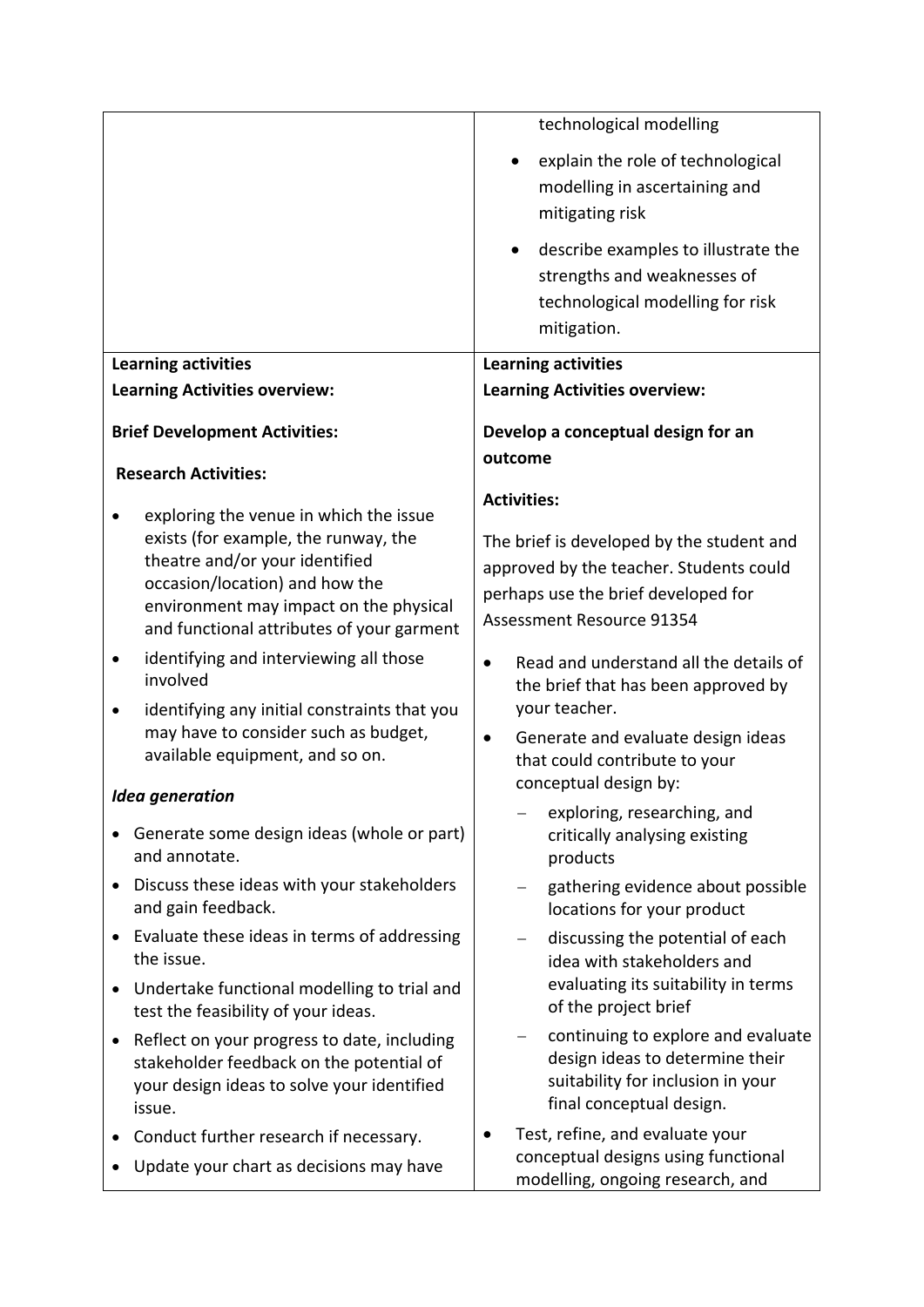|                                                                                                                                                                                                                                           | technological modelling                                                                                                                                  |
|-------------------------------------------------------------------------------------------------------------------------------------------------------------------------------------------------------------------------------------------|----------------------------------------------------------------------------------------------------------------------------------------------------------|
|                                                                                                                                                                                                                                           | explain the role of technological<br>modelling in ascertaining and<br>mitigating risk                                                                    |
|                                                                                                                                                                                                                                           | describe examples to illustrate the<br>strengths and weaknesses of<br>technological modelling for risk<br>mitigation.                                    |
| <b>Learning activities</b>                                                                                                                                                                                                                | <b>Learning activities</b>                                                                                                                               |
| <b>Learning Activities overview:</b>                                                                                                                                                                                                      | <b>Learning Activities overview:</b>                                                                                                                     |
| <b>Brief Development Activities:</b>                                                                                                                                                                                                      | Develop a conceptual design for an                                                                                                                       |
| <b>Research Activities:</b>                                                                                                                                                                                                               | outcome                                                                                                                                                  |
|                                                                                                                                                                                                                                           | <b>Activities:</b>                                                                                                                                       |
| exploring the venue in which the issue<br>exists (for example, the runway, the<br>theatre and/or your identified<br>occasion/location) and how the<br>environment may impact on the physical<br>and functional attributes of your garment | The brief is developed by the student and<br>approved by the teacher. Students could<br>perhaps use the brief developed for<br>Assessment Resource 91354 |
| identifying and interviewing all those<br>involved                                                                                                                                                                                        | Read and understand all the details of<br>$\bullet$<br>the brief that has been approved by                                                               |
| identifying any initial constraints that you<br>may have to consider such as budget,<br>available equipment, and so on.                                                                                                                   | your teacher.<br>Generate and evaluate design ideas<br>$\bullet$<br>that could contribute to your<br>conceptual design by:                               |
| <b>Idea generation</b><br>Generate some design ideas (whole or part)<br>and annotate.                                                                                                                                                     | exploring, researching, and<br>critically analysing existing<br>products                                                                                 |
| Discuss these ideas with your stakeholders<br>$\bullet$<br>and gain feedback.                                                                                                                                                             | gathering evidence about possible<br>locations for your product                                                                                          |
| Evaluate these ideas in terms of addressing<br>$\bullet$<br>the issue.                                                                                                                                                                    | discussing the potential of each<br>idea with stakeholders and                                                                                           |
| Undertake functional modelling to trial and<br>$\bullet$<br>test the feasibility of your ideas.                                                                                                                                           | evaluating its suitability in terms<br>of the project brief                                                                                              |
| Reflect on your progress to date, including<br>$\bullet$<br>stakeholder feedback on the potential of<br>your design ideas to solve your identified<br>issue.                                                                              | continuing to explore and evaluate<br>design ideas to determine their<br>suitability for inclusion in your<br>final conceptual design.                   |
| Conduct further research if necessary.<br>Update your chart as decisions may have                                                                                                                                                         | Test, refine, and evaluate your<br>conceptual designs using functional<br>modelling, ongoing research, and                                               |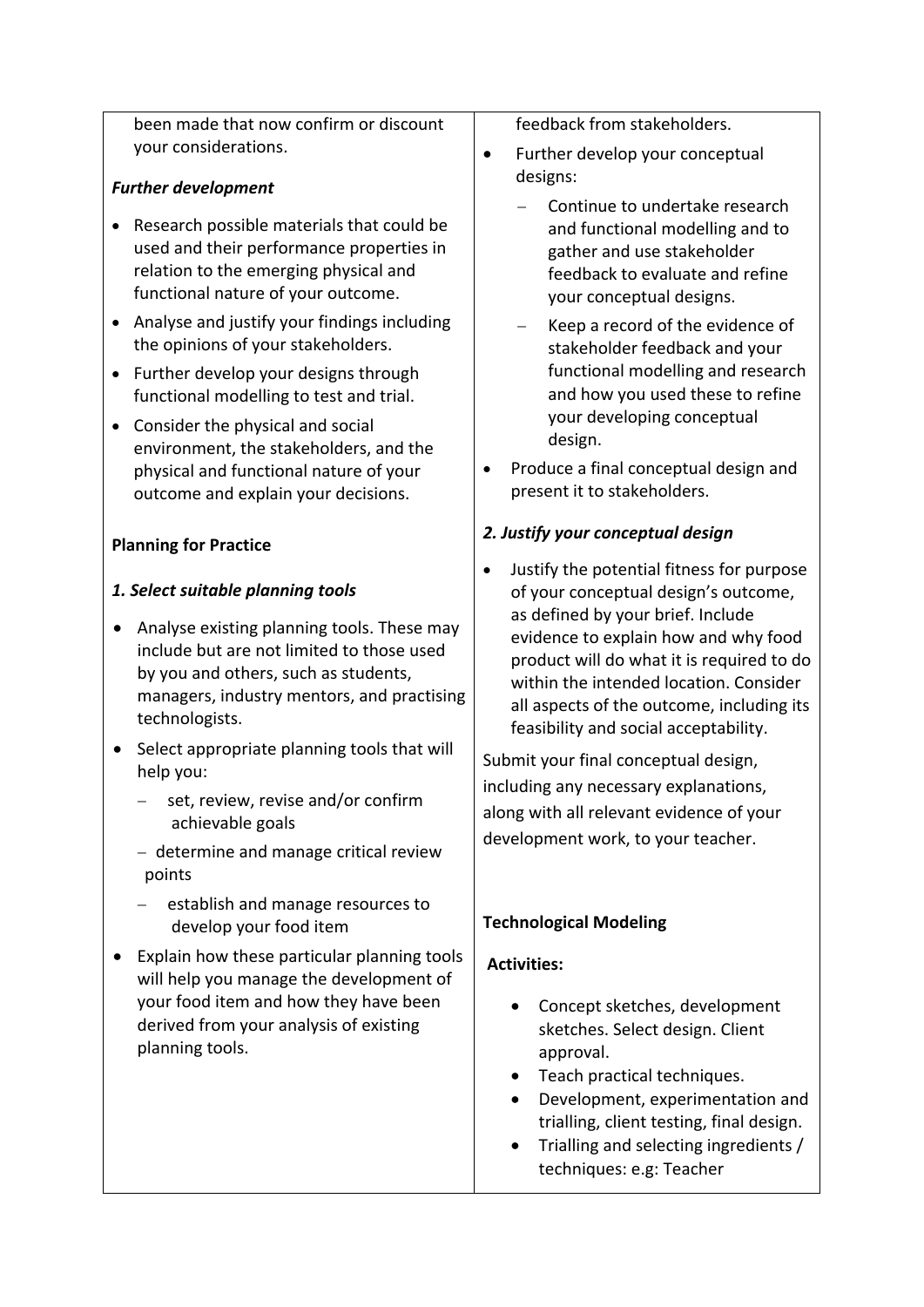been made that now confirm or discount your considerations.

# *Further development*

- Research possible materials that could be used and their performance properties in relation to the emerging physical and functional nature of your outcome.
- Analyse and justify your findings including the opinions of your stakeholders.
- Further develop your designs through functional modelling to test and trial.
- Consider the physical and social environment, the stakeholders, and the physical and functional nature of your outcome and explain your decisions.

# **Planning for Practice**

# *1. Select suitable planning tools*

- Analyse existing planning tools. These may include but are not limited to those used by you and others, such as students, managers, industry mentors, and practising technologists.
- Select appropriate planning tools that will help you:
	- set, review, revise and/or confirm achievable goals
	- $-$  determine and manage critical review points
	- establish and manage resources to develop your food item
- Explain how these particular planning tools will help you manage the development of your food item and how they have been derived from your analysis of existing planning tools.

feedback from stakeholders.

- Further develop your conceptual designs:
	- Continue to undertake research and functional modelling and to gather and use stakeholder feedback to evaluate and refine your conceptual designs.
	- Keep a record of the evidence of stakeholder feedback and your functional modelling and research and how you used these to refine your developing conceptual design.
- Produce a final conceptual design and present it to stakeholders.

# *2. Justify your conceptual design*

 Justify the potential fitness for purpose of your conceptual design's outcome, as defined by your brief. Include evidence to explain how and why food product will do what it is required to do within the intended location. Consider all aspects of the outcome, including its feasibility and social acceptability.

Submit your final conceptual design, including any necessary explanations, along with all relevant evidence of your development work, to your teacher.

# **Technological Modeling**

# **Activities:**

- Concept sketches, development sketches. Select design. Client approval.
- Teach practical techniques.
- Development, experimentation and trialling, client testing, final design.
- Trialling and selecting ingredients / techniques: e.g: Teacher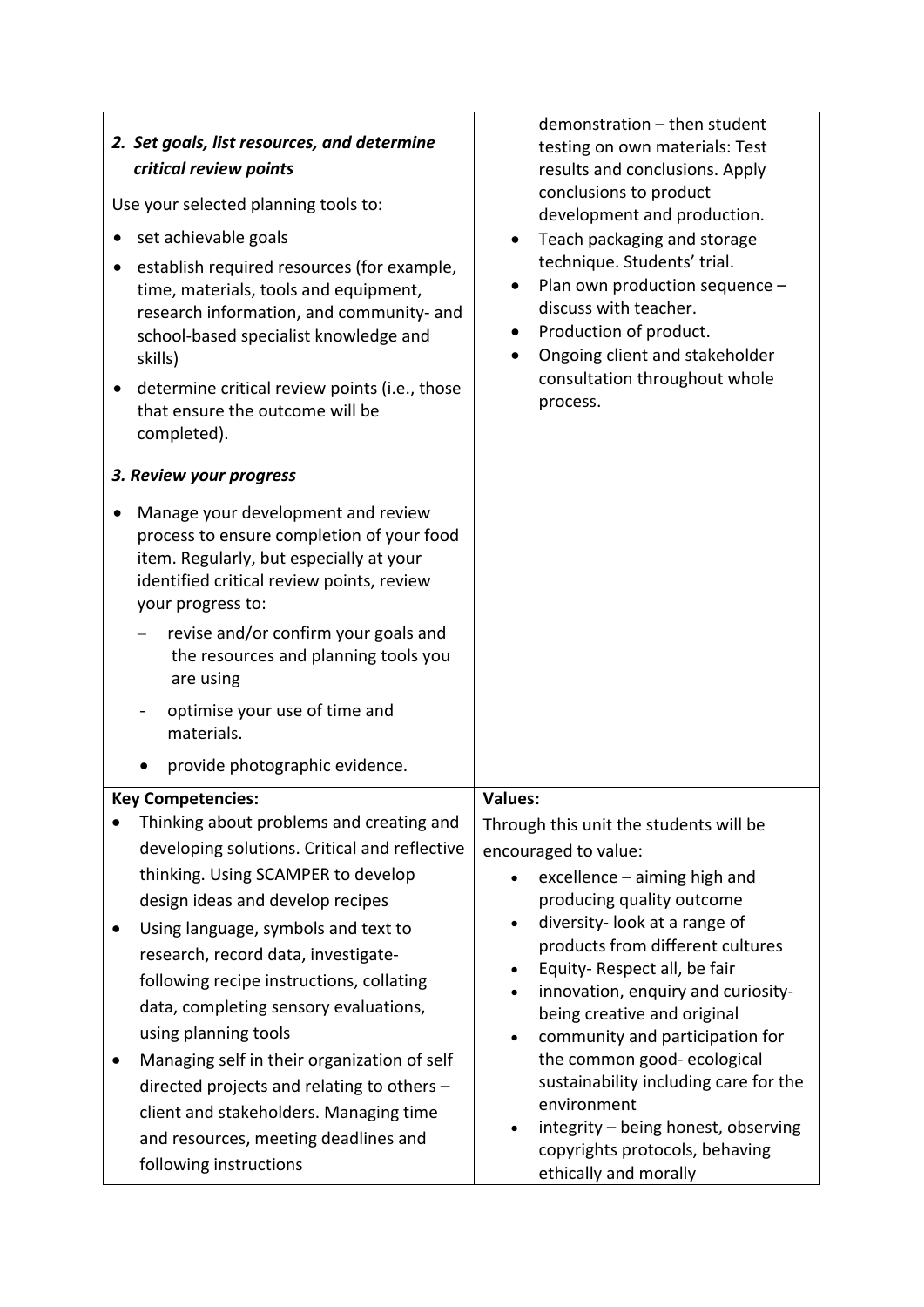| 2. Set goals, list resources, and determine<br>critical review points<br>Use your selected planning tools to:<br>set achievable goals<br>establish required resources (for example,<br>time, materials, tools and equipment,<br>research information, and community- and<br>school-based specialist knowledge and<br>skills)<br>determine critical review points (i.e., those<br>$\bullet$<br>that ensure the outcome will be<br>completed).<br>3. Review your progress<br>Manage your development and review<br>process to ensure completion of your food<br>item. Regularly, but especially at your<br>identified critical review points, review<br>your progress to:<br>revise and/or confirm your goals and<br>the resources and planning tools you<br>are using<br>optimise your use of time and<br>materials. | demonstration - then student<br>testing on own materials: Test<br>results and conclusions. Apply<br>conclusions to product<br>development and production.<br>Teach packaging and storage<br>technique. Students' trial.<br>Plan own production sequence -<br>discuss with teacher.<br>Production of product.<br>$\bullet$<br>Ongoing client and stakeholder<br>$\bullet$<br>consultation throughout whole<br>process.                                                                                                                                                       |
|---------------------------------------------------------------------------------------------------------------------------------------------------------------------------------------------------------------------------------------------------------------------------------------------------------------------------------------------------------------------------------------------------------------------------------------------------------------------------------------------------------------------------------------------------------------------------------------------------------------------------------------------------------------------------------------------------------------------------------------------------------------------------------------------------------------------|-----------------------------------------------------------------------------------------------------------------------------------------------------------------------------------------------------------------------------------------------------------------------------------------------------------------------------------------------------------------------------------------------------------------------------------------------------------------------------------------------------------------------------------------------------------------------------|
| provide photographic evidence.                                                                                                                                                                                                                                                                                                                                                                                                                                                                                                                                                                                                                                                                                                                                                                                      |                                                                                                                                                                                                                                                                                                                                                                                                                                                                                                                                                                             |
| <b>Key Competencies:</b><br>Thinking about problems and creating and<br>developing solutions. Critical and reflective<br>thinking. Using SCAMPER to develop<br>design ideas and develop recipes<br>Using language, symbols and text to<br>$\bullet$<br>research, record data, investigate-<br>following recipe instructions, collating<br>data, completing sensory evaluations,<br>using planning tools<br>Managing self in their organization of self<br>directed projects and relating to others -<br>client and stakeholders. Managing time<br>and resources, meeting deadlines and<br>following instructions                                                                                                                                                                                                    | <b>Values:</b><br>Through this unit the students will be<br>encouraged to value:<br>excellence - aiming high and<br>producing quality outcome<br>diversity- look at a range of<br>$\bullet$<br>products from different cultures<br>Equity-Respect all, be fair<br>innovation, enquiry and curiosity-<br>being creative and original<br>community and participation for<br>$\bullet$<br>the common good-ecological<br>sustainability including care for the<br>environment<br>integrity - being honest, observing<br>copyrights protocols, behaving<br>ethically and morally |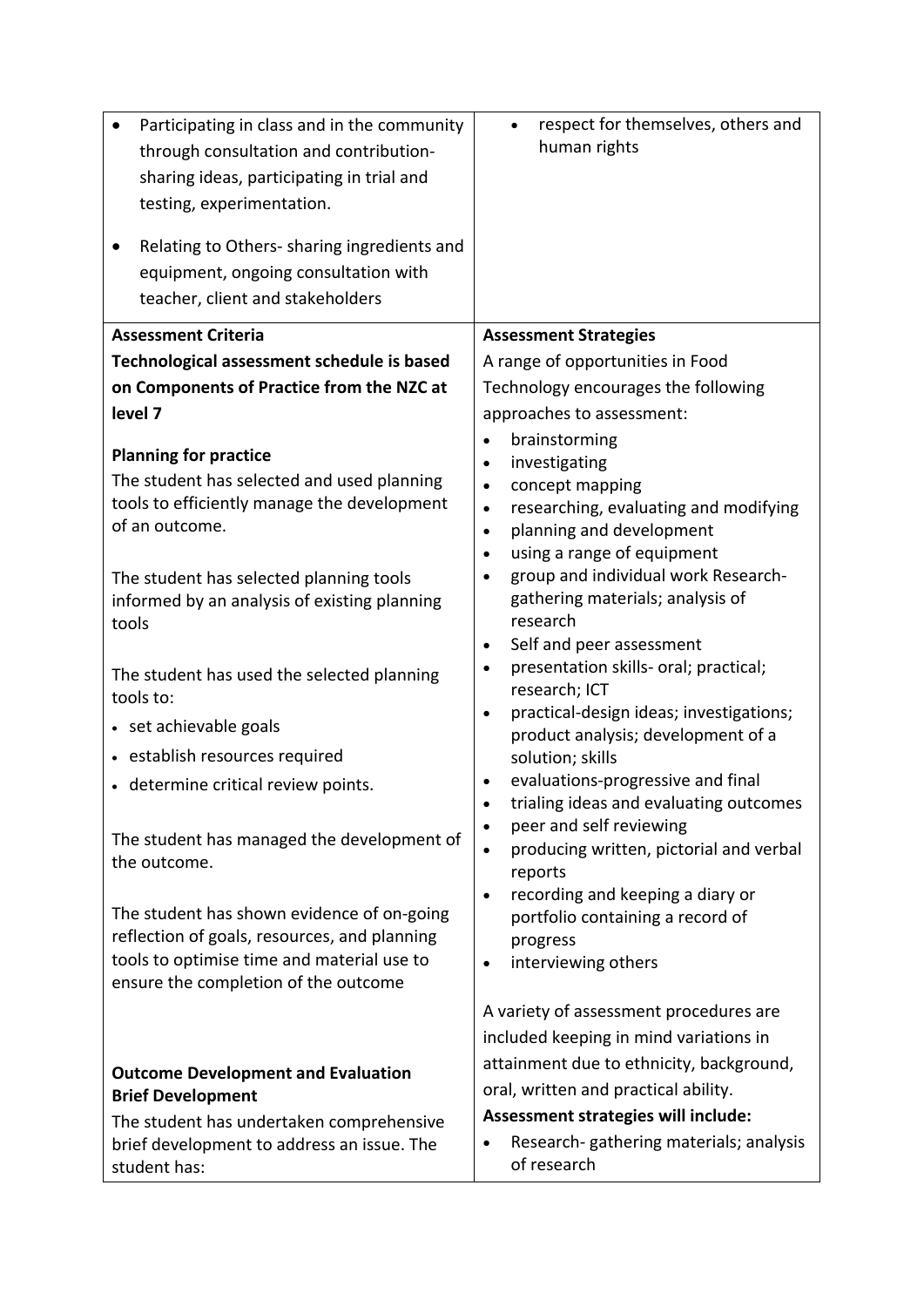| Participating in class and in the community<br>through consultation and contribution-<br>sharing ideas, participating in trial and<br>testing, experimentation.<br>Relating to Others- sharing ingredients and<br>equipment, ongoing consultation with<br>teacher, client and stakeholders | respect for themselves, others and<br>$\bullet$<br>human rights         |
|--------------------------------------------------------------------------------------------------------------------------------------------------------------------------------------------------------------------------------------------------------------------------------------------|-------------------------------------------------------------------------|
| <b>Assessment Criteria</b>                                                                                                                                                                                                                                                                 | <b>Assessment Strategies</b>                                            |
| Technological assessment schedule is based                                                                                                                                                                                                                                                 | A range of opportunities in Food                                        |
| on Components of Practice from the NZC at                                                                                                                                                                                                                                                  | Technology encourages the following                                     |
| level 7                                                                                                                                                                                                                                                                                    | approaches to assessment:                                               |
| <b>Planning for practice</b>                                                                                                                                                                                                                                                               | brainstorming<br>$\bullet$                                              |
| The student has selected and used planning                                                                                                                                                                                                                                                 | investigating<br>$\bullet$<br>concept mapping<br>$\bullet$              |
| tools to efficiently manage the development                                                                                                                                                                                                                                                | researching, evaluating and modifying<br>$\bullet$                      |
| of an outcome.                                                                                                                                                                                                                                                                             | planning and development<br>$\bullet$                                   |
|                                                                                                                                                                                                                                                                                            | using a range of equipment<br>$\bullet$                                 |
| The student has selected planning tools                                                                                                                                                                                                                                                    | group and individual work Research-<br>gathering materials; analysis of |
| informed by an analysis of existing planning<br>tools                                                                                                                                                                                                                                      | research                                                                |
|                                                                                                                                                                                                                                                                                            | Self and peer assessment<br>$\bullet$                                   |
| The student has used the selected planning                                                                                                                                                                                                                                                 | presentation skills- oral; practical;<br>$\bullet$                      |
| tools to:                                                                                                                                                                                                                                                                                  | research; ICT<br>practical-design ideas; investigations;<br>$\bullet$   |
| • set achievable goals                                                                                                                                                                                                                                                                     | product analysis; development of a                                      |
| • establish resources required                                                                                                                                                                                                                                                             | solution; skills                                                        |
| • determine critical review points.                                                                                                                                                                                                                                                        | evaluations-progressive and final                                       |
|                                                                                                                                                                                                                                                                                            | trialing ideas and evaluating outcomes                                  |
| The student has managed the development of                                                                                                                                                                                                                                                 | peer and self reviewing<br>producing written, pictorial and verbal      |
| the outcome.                                                                                                                                                                                                                                                                               | reports                                                                 |
|                                                                                                                                                                                                                                                                                            | recording and keeping a diary or                                        |
| The student has shown evidence of on-going                                                                                                                                                                                                                                                 | portfolio containing a record of                                        |
| reflection of goals, resources, and planning<br>tools to optimise time and material use to                                                                                                                                                                                                 | progress<br>interviewing others<br>$\bullet$                            |
| ensure the completion of the outcome                                                                                                                                                                                                                                                       |                                                                         |
|                                                                                                                                                                                                                                                                                            | A variety of assessment procedures are                                  |
|                                                                                                                                                                                                                                                                                            | included keeping in mind variations in                                  |
| <b>Outcome Development and Evaluation</b>                                                                                                                                                                                                                                                  | attainment due to ethnicity, background,                                |
| <b>Brief Development</b>                                                                                                                                                                                                                                                                   | oral, written and practical ability.                                    |
| The student has undertaken comprehensive                                                                                                                                                                                                                                                   | Assessment strategies will include:                                     |
| brief development to address an issue. The<br>student has:                                                                                                                                                                                                                                 | Research-gathering materials; analysis<br>of research                   |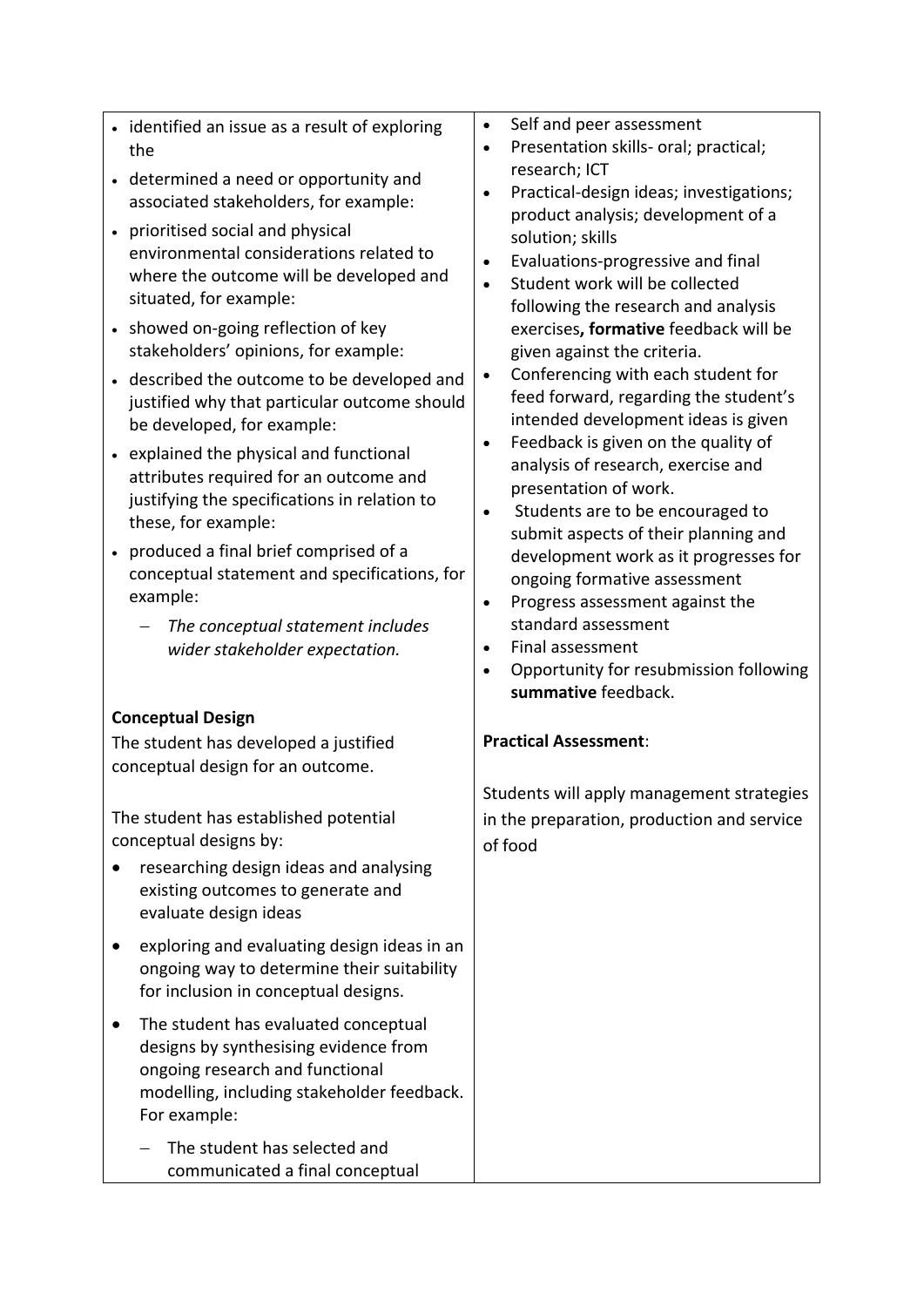| • identified an issue as a result of exploring<br>the                                                                                                                                                          | Self and peer assessment<br>$\bullet$<br>Presentation skills- oral; practical;<br>$\bullet$                                                                                                                               |
|----------------------------------------------------------------------------------------------------------------------------------------------------------------------------------------------------------------|---------------------------------------------------------------------------------------------------------------------------------------------------------------------------------------------------------------------------|
| • determined a need or opportunity and<br>associated stakeholders, for example:                                                                                                                                | research; ICT<br>Practical-design ideas; investigations;<br>$\bullet$                                                                                                                                                     |
| • prioritised social and physical<br>environmental considerations related to<br>where the outcome will be developed and<br>situated, for example:                                                              | product analysis; development of a<br>solution; skills<br>Evaluations-progressive and final<br>$\bullet$<br>Student work will be collected<br>$\bullet$<br>following the research and analysis                            |
| • showed on-going reflection of key<br>stakeholders' opinions, for example:                                                                                                                                    | exercises, formative feedback will be<br>given against the criteria.                                                                                                                                                      |
| • described the outcome to be developed and<br>justified why that particular outcome should<br>be developed, for example:<br>• explained the physical and functional<br>attributes required for an outcome and | Conferencing with each student for<br>$\bullet$<br>feed forward, regarding the student's<br>intended development ideas is given<br>Feedback is given on the quality of<br>$\bullet$<br>analysis of research, exercise and |
| justifying the specifications in relation to<br>these, for example:                                                                                                                                            | presentation of work.<br>Students are to be encouraged to<br>$\bullet$<br>submit aspects of their planning and                                                                                                            |
| • produced a final brief comprised of a<br>conceptual statement and specifications, for<br>example:                                                                                                            | development work as it progresses for<br>ongoing formative assessment<br>Progress assessment against the<br>$\bullet$                                                                                                     |
| The conceptual statement includes<br>wider stakeholder expectation.                                                                                                                                            | standard assessment<br>Final assessment<br>$\bullet$<br>Opportunity for resubmission following<br>$\bullet$<br>summative feedback.                                                                                        |
| <b>Conceptual Design</b>                                                                                                                                                                                       |                                                                                                                                                                                                                           |
| The student has developed a justified<br>conceptual design for an outcome.                                                                                                                                     | <b>Practical Assessment:</b>                                                                                                                                                                                              |
| The student has established potential<br>conceptual designs by:<br>researching design ideas and analysing<br>existing outcomes to generate and<br>evaluate design ideas                                        | Students will apply management strategies<br>in the preparation, production and service<br>of food                                                                                                                        |
| exploring and evaluating design ideas in an<br>ongoing way to determine their suitability<br>for inclusion in conceptual designs.                                                                              |                                                                                                                                                                                                                           |
| The student has evaluated conceptual<br>designs by synthesising evidence from<br>ongoing research and functional<br>modelling, including stakeholder feedback.<br>For example:                                 |                                                                                                                                                                                                                           |
| The student has selected and<br>communicated a final conceptual                                                                                                                                                |                                                                                                                                                                                                                           |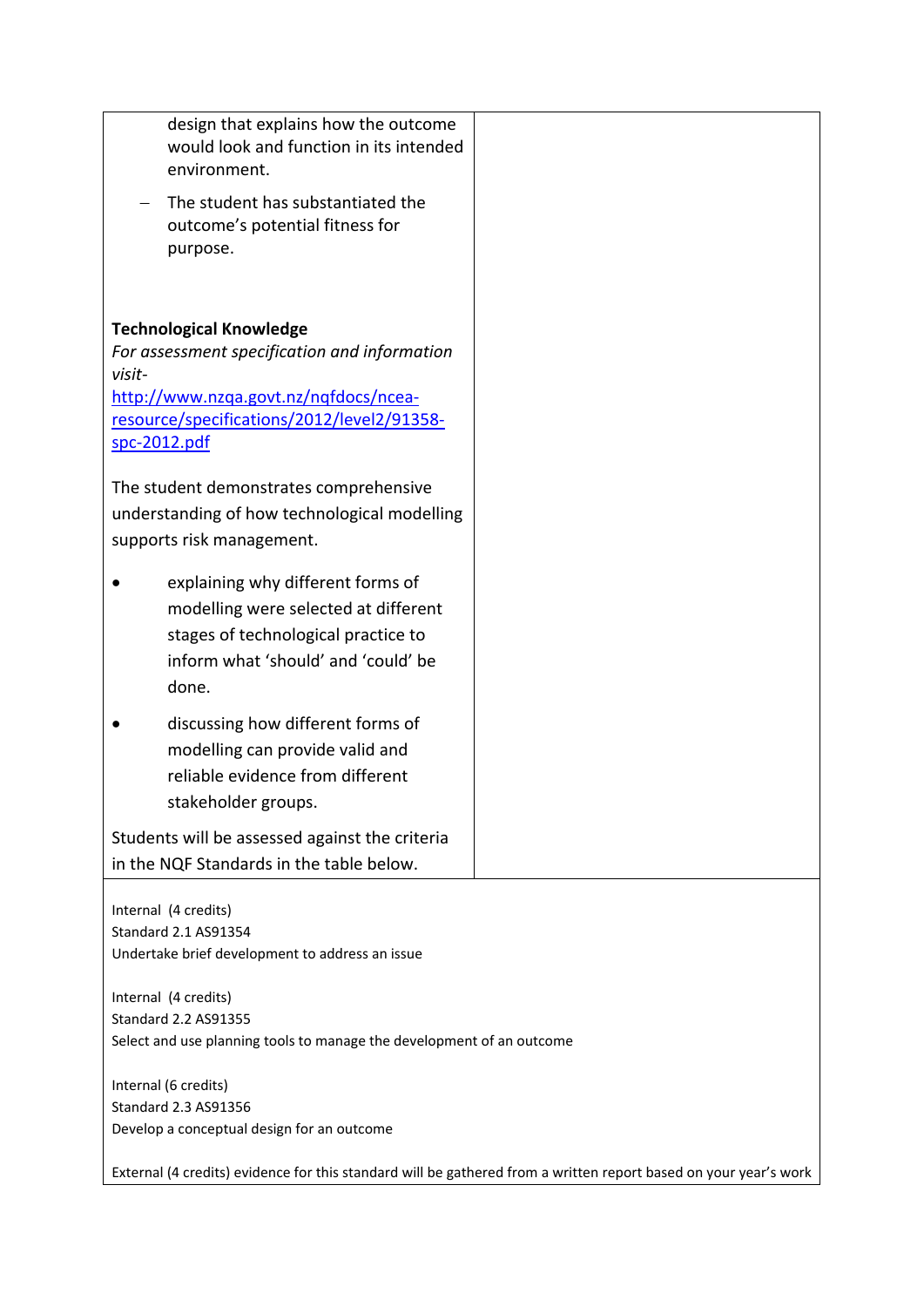| design that explains how the outcome<br>would look and function in its intended<br>environment.                  |  |
|------------------------------------------------------------------------------------------------------------------|--|
| The student has substantiated the<br>outcome's potential fitness for<br>purpose.                                 |  |
| <b>Technological Knowledge</b>                                                                                   |  |
| For assessment specification and information                                                                     |  |
| visit-<br>http://www.nzqa.govt.nz/nqfdocs/ncea-<br>resource/specifications/2012/level2/91358-<br>spc-2012.pdf    |  |
| The student demonstrates comprehensive                                                                           |  |
| understanding of how technological modelling                                                                     |  |
| supports risk management.                                                                                        |  |
| explaining why different forms of                                                                                |  |
| modelling were selected at different<br>stages of technological practice to                                      |  |
| inform what 'should' and 'could' be                                                                              |  |
| done.                                                                                                            |  |
| discussing how different forms of                                                                                |  |
| modelling can provide valid and                                                                                  |  |
| reliable evidence from different<br>stakeholder groups.                                                          |  |
|                                                                                                                  |  |
| Students will be assessed against the criteria<br>in the NQF Standards in the table below.                       |  |
|                                                                                                                  |  |
| Internal (4 credits)<br><b>Standard 2.1 AS91354</b>                                                              |  |
| Undertake brief development to address an issue                                                                  |  |
| Internal (4 credits)                                                                                             |  |
| Standard 2.2 AS91355                                                                                             |  |
| Select and use planning tools to manage the development of an outcome                                            |  |
| Internal (6 credits)                                                                                             |  |
| Standard 2.3 AS91356<br>Develop a conceptual design for an outcome                                               |  |
| External (4 credits) evidence for this standard will be gathered from a written report based on your year's work |  |
|                                                                                                                  |  |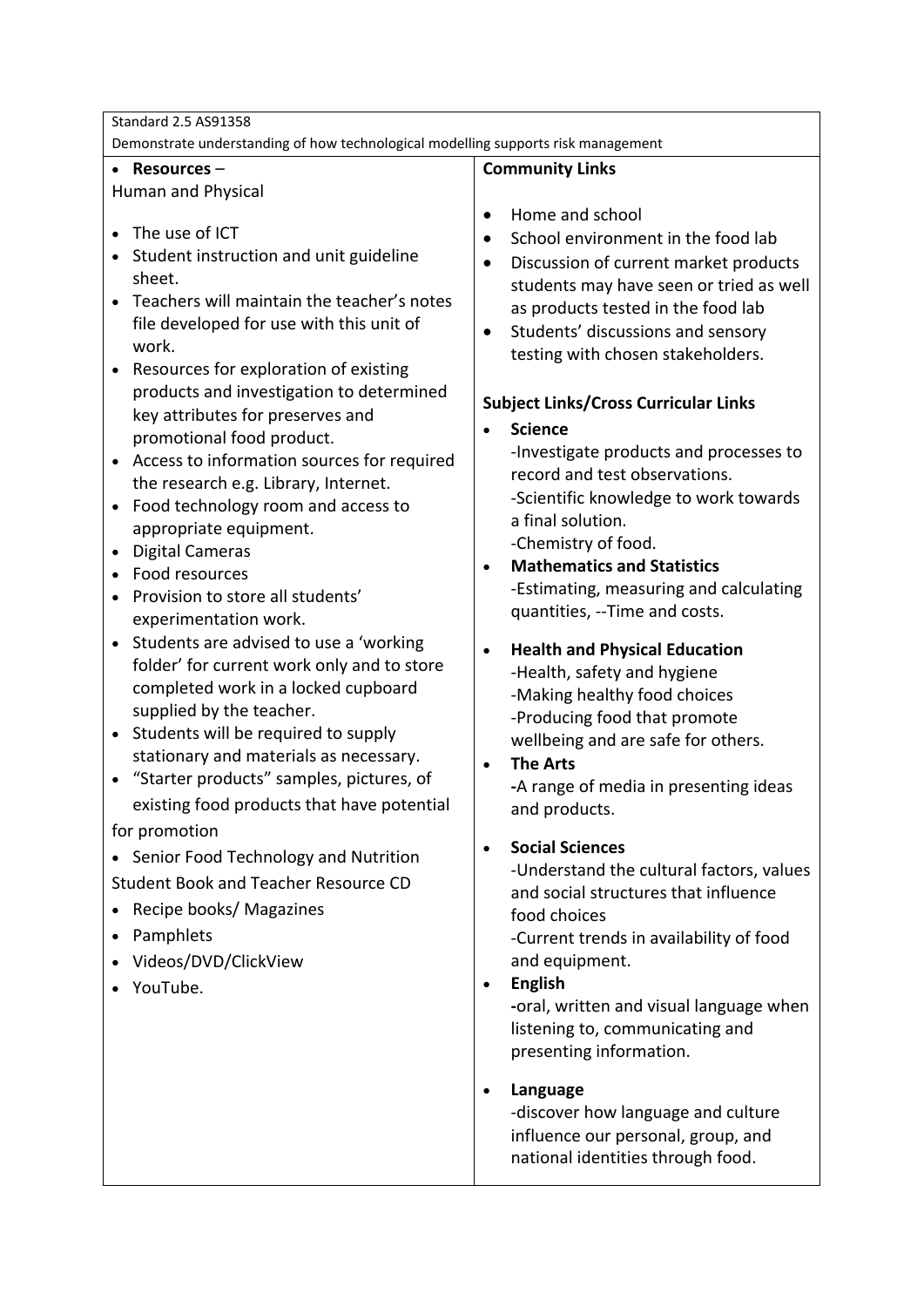| <b>Standard 2.5 AS91358</b>                                                       |                                                                                  |
|-----------------------------------------------------------------------------------|----------------------------------------------------------------------------------|
| Demonstrate understanding of how technological modelling supports risk management |                                                                                  |
| Resources-<br>$\bullet$                                                           | <b>Community Links</b>                                                           |
| Human and Physical                                                                |                                                                                  |
|                                                                                   | Home and school<br>$\bullet$                                                     |
| The use of ICT<br>$\bullet$                                                       | School environment in the food lab                                               |
| Student instruction and unit guideline                                            | Discussion of current market products<br>$\bullet$                               |
| sheet.                                                                            | students may have seen or tried as well                                          |
| Teachers will maintain the teacher's notes                                        | as products tested in the food lab                                               |
| file developed for use with this unit of                                          | Students' discussions and sensory<br>$\bullet$                                   |
| work.                                                                             | testing with chosen stakeholders.                                                |
| Resources for exploration of existing                                             |                                                                                  |
| products and investigation to determined<br>key attributes for preserves and      | <b>Subject Links/Cross Curricular Links</b>                                      |
|                                                                                   | <b>Science</b>                                                                   |
| promotional food product.<br>Access to information sources for required           | -Investigate products and processes to                                           |
| $\bullet$<br>the research e.g. Library, Internet.                                 | record and test observations.                                                    |
| Food technology room and access to<br>$\bullet$                                   | -Scientific knowledge to work towards                                            |
| appropriate equipment.                                                            | a final solution.                                                                |
| <b>Digital Cameras</b><br>$\bullet$                                               | -Chemistry of food.                                                              |
| Food resources                                                                    | <b>Mathematics and Statistics</b>                                                |
| Provision to store all students'                                                  | -Estimating, measuring and calculating                                           |
| experimentation work.                                                             | quantities, -- Time and costs.                                                   |
| Students are advised to use a 'working<br>$\bullet$                               |                                                                                  |
| folder' for current work only and to store                                        | <b>Health and Physical Education</b><br>$\bullet$<br>-Health, safety and hygiene |
| completed work in a locked cupboard                                               | -Making healthy food choices                                                     |
| supplied by the teacher.                                                          | -Producing food that promote                                                     |
| Students will be required to supply<br>$\bullet$                                  | wellbeing and are safe for others.                                               |
| stationary and materials as necessary.                                            | <b>The Arts</b><br>$\bullet$                                                     |
| "Starter products" samples, pictures, of                                          | -A range of media in presenting ideas                                            |
| existing food products that have potential                                        | and products.                                                                    |
| for promotion                                                                     |                                                                                  |
| • Senior Food Technology and Nutrition                                            | <b>Social Sciences</b><br>$\bullet$                                              |
|                                                                                   | -Understand the cultural factors, values                                         |
| <b>Student Book and Teacher Resource CD</b>                                       | and social structures that influence                                             |
| Recipe books/ Magazines                                                           | food choices                                                                     |
| Pamphlets                                                                         | -Current trends in availability of food                                          |
| Videos/DVD/ClickView                                                              | and equipment.                                                                   |
| YouTube.                                                                          | <b>English</b>                                                                   |
|                                                                                   | -oral, written and visual language when                                          |
|                                                                                   | listening to, communicating and                                                  |
|                                                                                   | presenting information.                                                          |
|                                                                                   | Language                                                                         |
|                                                                                   | -discover how language and culture                                               |
|                                                                                   | influence our personal, group, and                                               |
|                                                                                   | national identities through food.                                                |
|                                                                                   |                                                                                  |